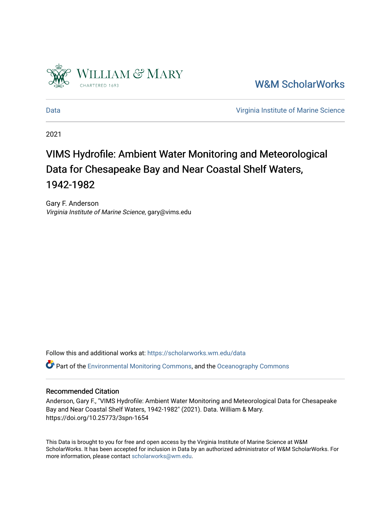

[W&M ScholarWorks](https://scholarworks.wm.edu/) 

[Data](https://scholarworks.wm.edu/data) [Virginia Institute of Marine Science](https://scholarworks.wm.edu/vims) 

2021

# VIMS Hydrofile: Ambient Water Monitoring and Meteorological Data for Chesapeake Bay and Near Coastal Shelf Waters, 1942-1982

Gary F. Anderson Virginia Institute of Marine Science, gary@vims.edu

Follow this and additional works at: [https://scholarworks.wm.edu/data](https://scholarworks.wm.edu/data?utm_source=scholarworks.wm.edu%2Fdata%2F452&utm_medium=PDF&utm_campaign=PDFCoverPages) 

Part of the [Environmental Monitoring Commons](http://network.bepress.com/hgg/discipline/931?utm_source=scholarworks.wm.edu%2Fdata%2F452&utm_medium=PDF&utm_campaign=PDFCoverPages), and the [Oceanography Commons](http://network.bepress.com/hgg/discipline/191?utm_source=scholarworks.wm.edu%2Fdata%2F452&utm_medium=PDF&utm_campaign=PDFCoverPages) 

### Recommended Citation

Anderson, Gary F., "VIMS Hydrofile: Ambient Water Monitoring and Meteorological Data for Chesapeake Bay and Near Coastal Shelf Waters, 1942-1982" (2021). Data. William & Mary. https://doi.org/10.25773/3spn-1654

This Data is brought to you for free and open access by the Virginia Institute of Marine Science at W&M ScholarWorks. It has been accepted for inclusion in Data by an authorized administrator of W&M ScholarWorks. For more information, please contact [scholarworks@wm.edu](mailto:scholarworks@wm.edu).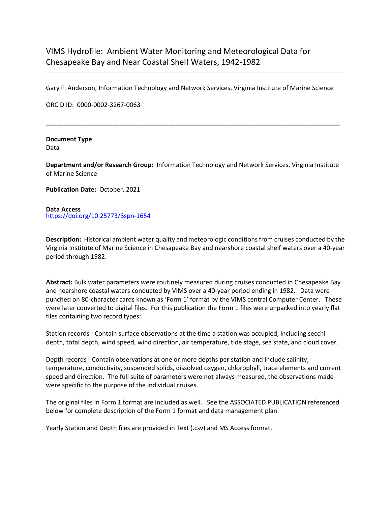## VIMS Hydrofile: Ambient Water Monitoring and Meteorological Data for Chesapeake Bay and Near Coastal Shelf Waters, 1942-1982

Gary F. Anderson, Information Technology and Network Services, Virginia Institute of Marine Science

ORCID ID:0000-0002-3267-0063

#### **Document Type** Data

**Department and/or Research Group:** Information Technology and Network Services, Virginia Institute of Marine Science

**\_\_\_\_\_\_\_\_\_\_\_\_\_\_\_\_\_\_\_\_\_\_\_\_\_\_\_\_\_\_\_\_\_\_\_\_\_\_\_\_\_\_\_\_\_\_\_\_\_\_\_\_\_\_\_\_\_\_\_\_\_\_\_\_\_\_\_\_\_\_\_\_\_\_\_\_\_\_\_\_\_\_\_\_**

**Publication Date:** October, 2021

#### **Data Access** <https://doi.org/10.25773/3spn-1654>

**Description:**Historical ambient water quality and meteorologic conditions from cruises conducted by the Virginia Institute of Marine Science in Chesapeake Bay and nearshore coastal shelf waters over a 40-year period through 1982.

**Abstract:** Bulk water parameters were routinely measured during cruises conducted in Chesapeake Bay and nearshore coastal waters conducted by VIMS over a 40-year period ending in 1982. Data were punched on 80-character cards known as 'Form 1' format by the VIMS central Computer Center. These were later converted to digital files. For this publication the Form 1 files were unpacked into yearly flat files containing two record types:

Station records - Contain surface observations at the time a station was occupied, including secchi depth, total depth, wind speed, wind direction, air temperature, tide stage, sea state, and cloud cover.

Depth records - Contain observations at one or more depths per station and include salinity, temperature, conductivity, suspended solids, dissolved oxygen, chlorophyll, trace elements and current speed and direction. The full suite of parameters were not always measured, the observations made were specific to the purpose of the individual cruises.

The original files in Form 1 format are included as well. See the ASSOCIATED PUBLICATION referenced below for complete description of the Form 1 format and data management plan.

Yearly Station and Depth files are provided in Text (.csv) and MS Access format.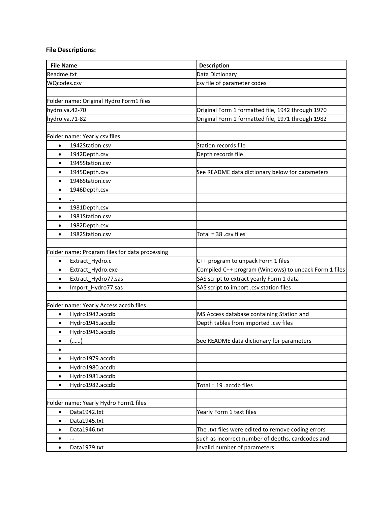**File Descriptions:** 

| <b>File Name</b>                               | <b>Description</b>                                    |  |
|------------------------------------------------|-------------------------------------------------------|--|
| Readme.txt                                     | Data Dictionary                                       |  |
| WQcodes.csv                                    | csv file of parameter codes                           |  |
|                                                |                                                       |  |
| Folder name: Original Hydro Form1 files        |                                                       |  |
| hydro.va.42-70                                 | Original Form 1 formatted file, 1942 through 1970     |  |
| hydro.va.71-82                                 | Original Form 1 formatted file, 1971 through 1982     |  |
|                                                |                                                       |  |
| Folder name: Yearly csv files                  |                                                       |  |
| 1942Station.csv<br>$\bullet$                   | Station records file                                  |  |
| 1942Depth.csv<br>$\bullet$                     | Depth records file                                    |  |
| 1945Station.csv<br>$\bullet$                   |                                                       |  |
| 1945Depth.csv<br>$\bullet$                     | See README data dictionary below for parameters       |  |
| 1946Station.csv<br>$\bullet$                   |                                                       |  |
| 1946Depth.csv<br>$\bullet$                     |                                                       |  |
| $\bullet$                                      |                                                       |  |
| 1981Depth.csv<br>$\bullet$                     |                                                       |  |
| 1981Station.csv<br>$\bullet$                   |                                                       |  |
| 1982Depth.csv<br>$\bullet$                     |                                                       |  |
| 1982Station.csv<br>$\bullet$                   | Total = 38 .csv files                                 |  |
|                                                |                                                       |  |
| Folder name: Program files for data processing |                                                       |  |
| Extract_Hydro.c<br>$\bullet$                   | C++ program to unpack Form 1 files                    |  |
| Extract_Hydro.exe<br>$\bullet$                 | Compiled C++ program (Windows) to unpack Form 1 files |  |
| Extract_Hydro77.sas<br>$\bullet$               | SAS script to extract yearly Form 1 data              |  |
| Import_Hydro77.sas<br>$\bullet$                | SAS script to import .csv station files               |  |
|                                                |                                                       |  |
| Folder name: Yearly Access accdb files         |                                                       |  |
| Hydro1942.accdb<br>$\bullet$                   | MS Access database containing Station and             |  |
| Hydro1945.accdb<br>$\bullet$                   | Depth tables from imported .csv files                 |  |
| Hydro1946.accdb<br>$\bullet$                   |                                                       |  |
| ()<br>$\bullet$                                | See README data dictionary for parameters             |  |
| $\bullet$                                      |                                                       |  |
| Hydro1979.accdb<br>٠                           |                                                       |  |
| Hydro1980.accdb<br>$\bullet$                   |                                                       |  |
| Hydro1981.accdb<br>$\bullet$                   |                                                       |  |
| Hydro1982.accdb<br>$\bullet$                   | Total = 19 .accdb files                               |  |
|                                                |                                                       |  |
| Folder name: Yearly Hydro Form1 files          |                                                       |  |
| Data1942.txt<br>$\bullet$                      | Yearly Form 1 text files                              |  |
| Data1945.txt<br>$\bullet$                      |                                                       |  |
| Data1946.txt<br>$\bullet$                      | The .txt files were edited to remove coding errors    |  |
| $\bullet$                                      | such as incorrect number of depths, cardcodes and     |  |
| Data1979.txt<br>$\bullet$                      | invalid number of parameters                          |  |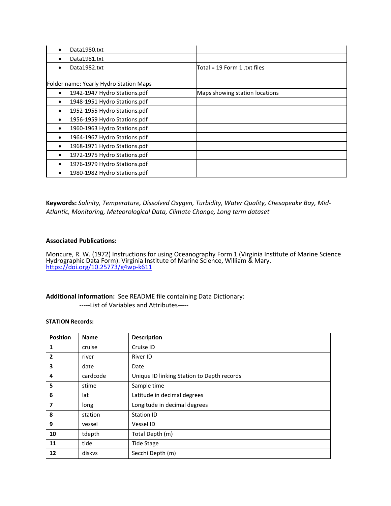| Data1980.txt                           |                                |
|----------------------------------------|--------------------------------|
| Data1981.txt                           |                                |
| Data1982.txt<br>٠                      | Total = 19 Form 1 .txt files   |
| Folder name: Yearly Hydro Station Maps |                                |
| 1942-1947 Hydro Stations.pdf           | Maps showing station locations |
| 1948-1951 Hydro Stations.pdf<br>٠      |                                |
| 1952-1955 Hydro Stations.pdf           |                                |
| 1956-1959 Hydro Stations.pdf<br>٠      |                                |
| 1960-1963 Hydro Stations.pdf<br>٠      |                                |
| 1964-1967 Hydro Stations.pdf<br>٠      |                                |
| 1968-1971 Hydro Stations.pdf<br>٠      |                                |
| 1972-1975 Hydro Stations.pdf<br>٠      |                                |
| 1976-1979 Hydro Stations.pdf           |                                |
| 1980-1982 Hydro Stations.pdf<br>٠      |                                |

**Keywords:** *Salinity, Temperature, Dissolved Oxygen, Turbidity, Water Quality, Chesapeake Bay, Mid-Atlantic, Monitoring, Meteorological Data, Climate Change, Long term dataset*

#### **Associated Publications:**

Moncure, R. W. (1972) Instructions for using Oceanography Form 1 (Virginia Institute of Marine Science Hydrographic Data Form). Virginia Institute of Marine Science, William & Mary. <https://doi.org/10.25773/g4wp-k611>

#### **Additional information:** See README file containing Data Dictionary: -----List of Variables and Attributes-----

#### **STATION Records:**

| <b>Position</b> | <b>Name</b> | <b>Description</b>                         |
|-----------------|-------------|--------------------------------------------|
| 1               | cruise      | Cruise ID                                  |
| $\overline{2}$  | river       | River ID                                   |
| 3               | date        | Date                                       |
| 4               | cardcode    | Unique ID linking Station to Depth records |
| 5               | stime       | Sample time                                |
| 6               | lat         | Latitude in decimal degrees                |
| 7               | long        | Longitude in decimal degrees               |
| 8               | station     | <b>Station ID</b>                          |
| 9               | vessel      | Vessel ID                                  |
| 10              | tdepth      | Total Depth (m)                            |
| 11              | tide        | <b>Tide Stage</b>                          |
| 12              | diskvs      | Secchi Depth (m)                           |